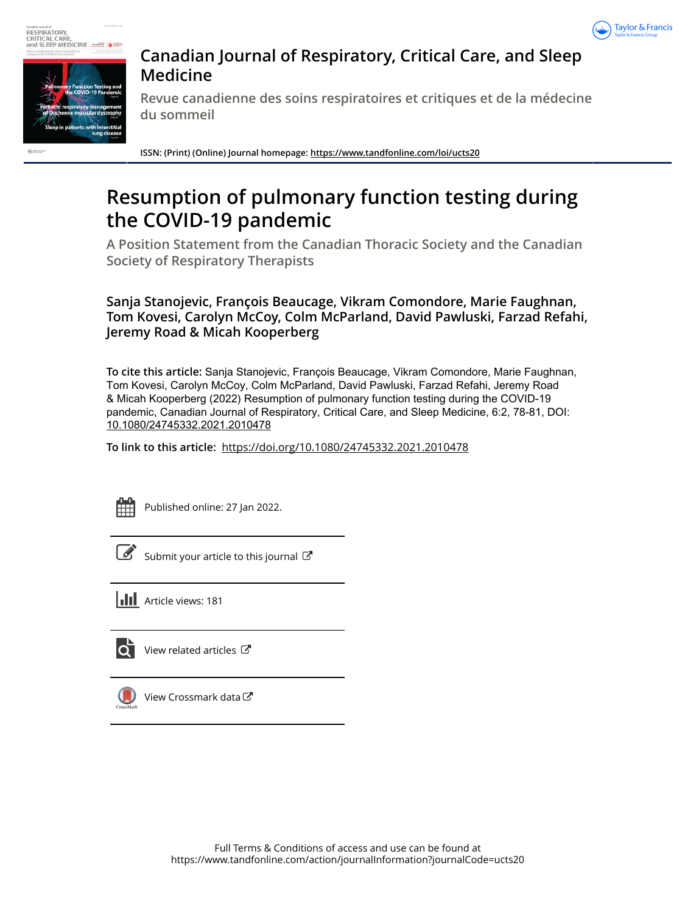



# **Canadian Journal of Respiratory, Critical Care, and Sleep Medicine**

**Revue canadienne des soins respiratoires et critiques et de la médecine du sommeil**

**ISSN: (Print) (Online) Journal homepage:<https://www.tandfonline.com/loi/ucts20>**

# **Resumption of pulmonary function testing during the COVID-19 pandemic**

**A Position Statement from the Canadian Thoracic Society and the Canadian Society of Respiratory Therapists**

**Sanja Stanojevic, François Beaucage, Vikram Comondore, Marie Faughnan, Tom Kovesi, Carolyn McCoy, Colm McParland, David Pawluski, Farzad Refahi, Jeremy Road & Micah Kooperberg**

**To cite this article:** Sanja Stanojevic, François Beaucage, Vikram Comondore, Marie Faughnan, Tom Kovesi, Carolyn McCoy, Colm McParland, David Pawluski, Farzad Refahi, Jeremy Road & Micah Kooperberg (2022) Resumption of pulmonary function testing during the COVID-19 pandemic, Canadian Journal of Respiratory, Critical Care, and Sleep Medicine, 6:2, 78-81, DOI: [10.1080/24745332.2021.2010478](https://www.tandfonline.com/action/showCitFormats?doi=10.1080/24745332.2021.2010478)

**To link to this article:** <https://doi.org/10.1080/24745332.2021.2010478>



Published online: 27 Jan 2022.

[Submit your article to this journal](https://www.tandfonline.com/action/authorSubmission?journalCode=ucts20&show=instructions)  $\mathbb{Z}^n$ 

**III** Article views: 181



View related articles



[View Crossmark data](http://crossmark.crossref.org/dialog/?doi=10.1080/24745332.2021.2010478&domain=pdf&date_stamp=2022-01-27)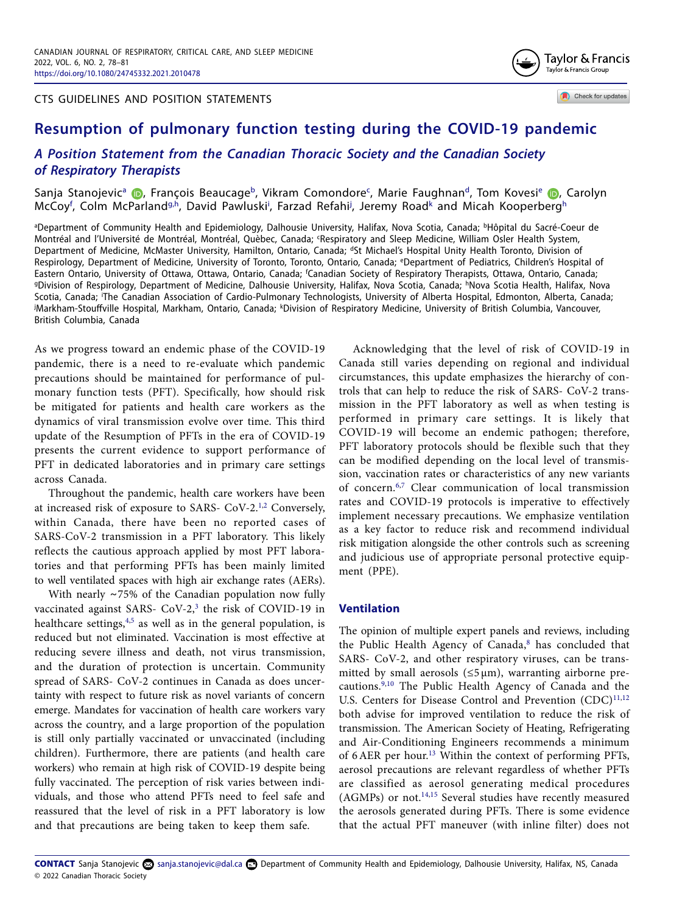CTS GUIDELINES AND POSITION STATEMENTS



Check for updates

# **Resumption of pulmonary function testing during the COVID-19 pandemic**

## *A Position Statement from the Canadian Thoracic Society and the Canadian Society of Respiratory Therapists*

Sanja Stanojevic<sup>a</sup> (D, François Beau[ca](#page-1-0)ge<sup>b</sup>[,](http://orcid.org/0000-0002-0521-8936) Vikram Comondore<sup>[c](#page-1-2)</sup>, Mari[e](#page-1-4) Faughnan<sup>d</sup>, Tom Kovesi<sup>e</sup> (D, Carolyn McCoy<sup>[f](#page-1-5)</sup>, Colm McParland<sup>[g,](#page-1-6)[h](#page-1-7)</sup>, David Pawlus[k](#page-1-10)i<sup>i</sup>, Farzad Refahi<sup>j</sup>, Jeremy Road<sup>k</sup> and Micah Kooperberg<sup>h</sup>

<span id="page-1-7"></span><span id="page-1-6"></span><span id="page-1-5"></span><span id="page-1-4"></span><span id="page-1-3"></span><span id="page-1-2"></span><span id="page-1-1"></span><span id="page-1-0"></span><sup>a</sup>Department of Community Health and Epidemiology, Dalhousie University, Halifax, Nova Scotia, Canada; <sup>b</sup>Hôpital du Sacré-Coeur de Montréal and l'Université de Montréal, Montréal, Quèbec, Canada; 'Respiratory and Sleep Medicine, William Osler Health System, Department of Medicine, McMaster University, Hamilton, Ontario, Canada; <sup>d</sup>St Michael's Hospital Unity Health Toronto, Division of Respirology, Department of Medicine, University of Toronto, Toronto, Ontario, Canada; <sup>e</sup>Department of Pediatrics, Children's Hospital of Eastern Ontario, University of Ottawa, Ottawa, Ontario, Canada; <sup>f</sup>Canadian Society of Respiratory Therapists, Ottawa, Ontario, Canada; <sup>9</sup>Division of Respirology, Department of Medicine, Dalhousie University, Halifax, Nova Scotia, Canada; <sup>h</sup>Nova Scotia Health, Halifax, Nova Scotia, Canada; The Canadian Association of Cardio-Pulmonary Technologists, University of Alberta Hospital, Edmonton, Alberta, Canada; <sup>i</sup>Markham-Stouffville Hospital, Markham, Ontario, Canada; <sup>k</sup>Division of Respiratory Medicine, University of British Columbia, Vancouver, British Columbia, Canada

<span id="page-1-10"></span><span id="page-1-9"></span><span id="page-1-8"></span>As we progress toward an endemic phase of the COVID-19 pandemic, there is a need to re-evaluate which pandemic precautions should be maintained for performance of pulmonary function tests (PFT). Specifically, how should risk be mitigated for patients and health care workers as the dynamics of viral transmission evolve over time. This third update of the Resumption of PFTs in the era of COVID-19 presents the current evidence to support performance of PFT in dedicated laboratories and in primary care settings across Canada.

<span id="page-1-11"></span>Throughout the pandemic, health care workers have been at increased risk of exposure to SARS- CoV-2.<sup>[1](#page-3-0),[2](#page-3-1)</sup> Conversely, within Canada, there have been no reported cases of SARS-CoV-2 transmission in a PFT laboratory. This likely reflects the cautious approach applied by most PFT laboratories and that performing PFTs has been mainly limited to well ventilated spaces with high air exchange rates (AERs).

<span id="page-1-14"></span><span id="page-1-13"></span>With nearly ∼75% of the Canadian population now fully vaccinated against SARS- CoV-2,<sup>[3](#page-3-2)</sup> the risk of COVID-19 in healthcare settings, [4](#page-3-3)[,5](#page-4-0) as well as in the general population, is reduced but not eliminated. Vaccination is most effective at reducing severe illness and death, not virus transmission, and the duration of protection is uncertain. Community spread of SARS- CoV-2 continues in Canada as does uncertainty with respect to future risk as novel variants of concern emerge. Mandates for vaccination of health care workers vary across the country, and a large proportion of the population is still only partially vaccinated or unvaccinated (including children). Furthermore, there are patients (and health care workers) who remain at high risk of COVID-19 despite being fully vaccinated. The perception of risk varies between individuals, and those who attend PFTs need to feel safe and reassured that the level of risk in a PFT laboratory is low and that precautions are being taken to keep them safe.

Acknowledging that the level of risk of COVID-19 in Canada still varies depending on regional and individual circumstances, this update emphasizes the hierarchy of controls that can help to reduce the risk of SARS- CoV-2 transmission in the PFT laboratory as well as when testing is performed in primary care settings. It is likely that COVID-19 will become an endemic pathogen; therefore, PFT laboratory protocols should be flexible such that they can be modified depending on the local level of transmission, vaccination rates or characteristics of any new variants of concern.[6](#page-4-1),[7](#page-4-2) Clear communication of local transmission rates and COVID-19 protocols is imperative to effectively implement necessary precautions. We emphasize ventilation as a key factor to reduce risk and recommend individual risk mitigation alongside the other controls such as screening and judicious use of appropriate personal protective equipment (PPE).

### <span id="page-1-17"></span><span id="page-1-16"></span><span id="page-1-15"></span><span id="page-1-12"></span>**Ventilation**

<span id="page-1-25"></span><span id="page-1-24"></span><span id="page-1-23"></span><span id="page-1-22"></span><span id="page-1-21"></span><span id="page-1-20"></span><span id="page-1-19"></span><span id="page-1-18"></span>The opinion of multiple expert panels and reviews, including the Public Health Agency of Canada,<sup>[8](#page-4-3)</sup> has concluded that SARS- CoV-2, and other respiratory viruses, can be transmitted by small aerosols ( $\leq$ 5µm), warranting airborne precautions.[9](#page-4-4)[,10](#page-4-5) The Public Health Agency of Canada and the U.S. Centers for Disease Control and Prevention (CDC)<sup>[11,](#page-4-6)[12](#page-4-7)</sup> both advise for improved ventilation to reduce the risk of transmission. The American Society of Heating, Refrigerating and Air-Conditioning Engineers recommends a minimum of 6AER per hour.[13](#page-4-8) Within the context of performing PFTs, aerosol precautions are relevant regardless of whether PFTs are classified as aerosol generating medical procedures (AGMPs) or not[.14,](#page-4-9)[15](#page-4-10) Several studies have recently measured the aerosols generated during PFTs. There is some evidence that the actual PFT maneuver (with inline filter) does not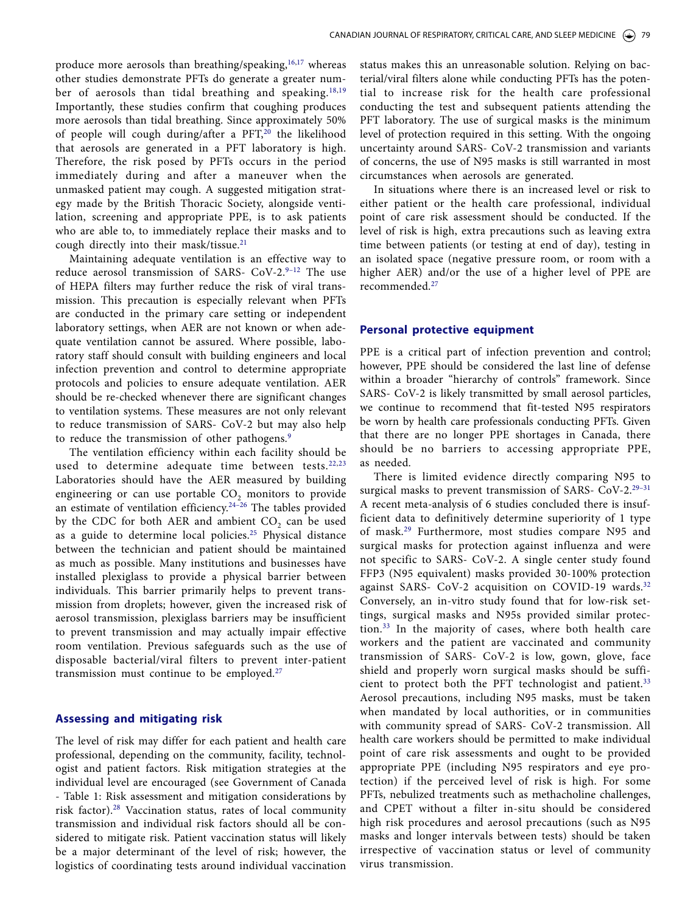<span id="page-2-4"></span><span id="page-2-2"></span><span id="page-2-0"></span>produce more aerosols than breathing/speaking,<sup>16,17</sup> whereas other studies demonstrate PFTs do generate a greater num-ber of aerosols than tidal breathing and speaking.<sup>[18,](#page-4-13)[19](#page-4-14)</sup> Importantly, these studies confirm that coughing produces more aerosols than tidal breathing. Since approximately 50% of people will cough during/after a PFT,<sup>[20](#page-4-15)</sup> the likelihood that aerosols are generated in a PFT laboratory is high. Therefore, the risk posed by PFTs occurs in the period immediately during and after a maneuver when the unmasked patient may cough. A suggested mitigation strategy made by the British Thoracic Society, alongside ventilation, screening and appropriate PPE, is to ask patients who are able to, to immediately replace their masks and to cough directly into their mask/tissue.<sup>[21](#page-4-16)</sup>

<span id="page-2-5"></span>Maintaining adequate ventilation is an effective way to reduce aerosol transmission of SARS- CoV-2.9-12 The use of HEPA filters may further reduce the risk of viral transmission. This precaution is especially relevant when PFTs are conducted in the primary care setting or independent laboratory settings, when AER are not known or when adequate ventilation cannot be assured. Where possible, laboratory staff should consult with building engineers and local infection prevention and control to determine appropriate protocols and policies to ensure adequate ventilation. AER should be re-checked whenever there are significant changes to ventilation systems. These measures are not only relevant to reduce transmission of SARS- CoV-2 but may also help to reduce the transmission of other pathogens.<sup>9</sup>

<span id="page-2-8"></span><span id="page-2-6"></span>The ventilation efficiency within each facility should be used to determine adequate time between tests. $22,23$  $22,23$ Laboratories should have the AER measured by building engineering or can use portable  $CO<sub>2</sub>$  monitors to provide an estimate of ventilation efficiency[.24–26](#page-4-19) The tables provided by the CDC for both AER and ambient CO<sub>2</sub> can be used as a guide to determine local policies.[25](#page-4-20) Physical distance between the technician and patient should be maintained as much as possible. Many institutions and businesses have installed plexiglass to provide a physical barrier between individuals. This barrier primarily helps to prevent transmission from droplets; however, given the increased risk of aerosol transmission, plexiglass barriers may be insufficient to prevent transmission and may actually impair effective room ventilation. Previous safeguards such as the use of disposable bacterial/viral filters to prevent inter-patient transmission must continue to be employed.[27](#page-4-21)

#### <span id="page-2-9"></span>**Assessing and mitigating risk**

<span id="page-2-10"></span>The level of risk may differ for each patient and health care professional, depending on the community, facility, technologist and patient factors. Risk mitigation strategies at the individual level are encouraged (see Government of Canada - Table 1: Risk assessment and mitigation considerations by risk factor).[28](#page-4-22) Vaccination status, rates of local community transmission and individual risk factors should all be considered to mitigate risk. Patient vaccination status will likely be a major determinant of the level of risk; however, the logistics of coordinating tests around individual vaccination

<span id="page-2-3"></span><span id="page-2-1"></span>status makes this an unreasonable solution. Relying on bacterial/viral filters alone while conducting PFTs has the potential to increase risk for the health care professional conducting the test and subsequent patients attending the PFT laboratory. The use of surgical masks is the minimum level of protection required in this setting. With the ongoing uncertainty around SARS- CoV-2 transmission and variants of concerns, the use of N95 masks is still warranted in most circumstances when aerosols are generated.

In situations where there is an increased level or risk to either patient or the health care professional, individual point of care risk assessment should be conducted. If the level of risk is high, extra precautions such as leaving extra time between patients (or testing at end of day), testing in an isolated space (negative pressure room, or room with a higher AER) and/or the use of a higher level of PPE are recommended.[27](#page-4-21)

#### **Personal protective equipment**

PPE is a critical part of infection prevention and control; however, PPE should be considered the last line of defense within a broader "hierarchy of controls" framework. Since SARS- CoV-2 is likely transmitted by small aerosol particles, we continue to recommend that fit-tested N95 respirators be worn by health care professionals conducting PFTs. Given that there are no longer PPE shortages in Canada, there should be no barriers to accessing appropriate PPE, as needed.

<span id="page-2-13"></span><span id="page-2-12"></span><span id="page-2-11"></span><span id="page-2-7"></span>There is limited evidence directly comparing N95 to surgical masks to prevent transmission of SARS- CoV-2.<sup>29-31</sup> A recent meta-analysis of 6 studies concluded there is insufficient data to definitively determine superiority of 1 type of mask[.29](#page-4-23) Furthermore, most studies compare N95 and surgical masks for protection against influenza and were not specific to SARS- CoV-2. A single center study found FFP3 (N95 equivalent) masks provided 30-100% protection against SARS- CoV-2 acquisition on COVID-19 wards.<sup>[32](#page-4-24)</sup> Conversely, an in-vitro study found that for low-risk settings, surgical masks and N95s provided similar protection.[33](#page-4-25) In the majority of cases, where both health care workers and the patient are vaccinated and community transmission of SARS- CoV-2 is low, gown, glove, face shield and properly worn surgical masks should be suffi-cient to protect both the PFT technologist and patient.<sup>[33](#page-4-25)</sup> Aerosol precautions, including N95 masks, must be taken when mandated by local authorities, or in communities with community spread of SARS- CoV-2 transmission. All health care workers should be permitted to make individual point of care risk assessments and ought to be provided appropriate PPE (including N95 respirators and eye protection) if the perceived level of risk is high. For some PFTs, nebulized treatments such as methacholine challenges, and CPET without a filter in-situ should be considered high risk procedures and aerosol precautions (such as N95 masks and longer intervals between tests) should be taken irrespective of vaccination status or level of community virus transmission.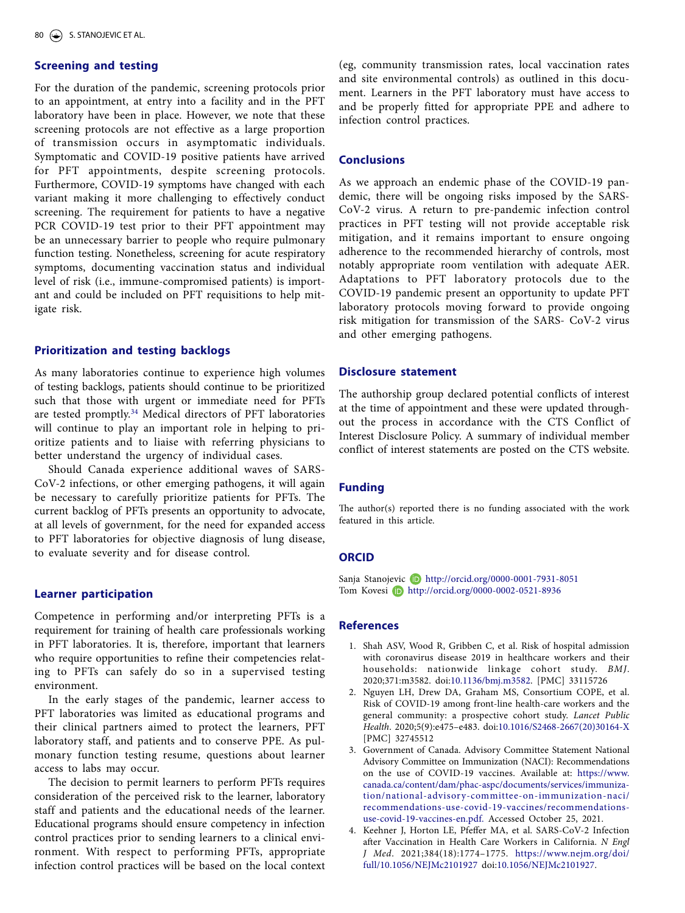### **Screening and testing**

For the duration of the pandemic, screening protocols prior to an appointment, at entry into a facility and in the PFT laboratory have been in place. However, we note that these screening protocols are not effective as a large proportion of transmission occurs in asymptomatic individuals. Symptomatic and COVID-19 positive patients have arrived for PFT appointments, despite screening protocols. Furthermore, COVID-19 symptoms have changed with each variant making it more challenging to effectively conduct screening. The requirement for patients to have a negative PCR COVID-19 test prior to their PFT appointment may be an unnecessary barrier to people who require pulmonary function testing. Nonetheless, screening for acute respiratory symptoms, documenting vaccination status and individual level of risk (i.e., immune-compromised patients) is important and could be included on PFT requisitions to help mitigate risk.

#### **Prioritization and testing backlogs**

<span id="page-3-4"></span>As many laboratories continue to experience high volumes of testing backlogs, patients should continue to be prioritized such that those with urgent or immediate need for PFTs are tested promptly[.34](#page-4-26) Medical directors of PFT laboratories will continue to play an important role in helping to prioritize patients and to liaise with referring physicians to better understand the urgency of individual cases.

Should Canada experience additional waves of SARS-CoV-2 infections, or other emerging pathogens, it will again be necessary to carefully prioritize patients for PFTs. The current backlog of PFTs presents an opportunity to advocate, at all levels of government, for the need for expanded access to PFT laboratories for objective diagnosis of lung disease, to evaluate severity and for disease control.

#### **Learner participation**

Competence in performing and/or interpreting PFTs is a requirement for training of health care professionals working in PFT laboratories. It is, therefore, important that learners who require opportunities to refine their competencies relating to PFTs can safely do so in a supervised testing environment.

In the early stages of the pandemic, learner access to PFT laboratories was limited as educational programs and their clinical partners aimed to protect the learners, PFT laboratory staff, and patients and to conserve PPE. As pulmonary function testing resume, questions about learner access to labs may occur.

The decision to permit learners to perform PFTs requires consideration of the perceived risk to the learner, laboratory staff and patients and the educational needs of the learner. Educational programs should ensure competency in infection control practices prior to sending learners to a clinical environment. With respect to performing PFTs, appropriate infection control practices will be based on the local context (eg, community transmission rates, local vaccination rates and site environmental controls) as outlined in this document. Learners in the PFT laboratory must have access to and be properly fitted for appropriate PPE and adhere to infection control practices.

#### **Conclusions**

As we approach an endemic phase of the COVID-19 pandemic, there will be ongoing risks imposed by the SARS-CoV-2 virus. A return to pre-pandemic infection control practices in PFT testing will not provide acceptable risk mitigation, and it remains important to ensure ongoing adherence to the recommended hierarchy of controls, most notably appropriate room ventilation with adequate AER. Adaptations to PFT laboratory protocols due to the COVID-19 pandemic present an opportunity to update PFT laboratory protocols moving forward to provide ongoing risk mitigation for transmission of the SARS- CoV-2 virus and other emerging pathogens.

#### **Disclosure statement**

The authorship group declared potential conflicts of interest at the time of appointment and these were updated throughout the process in accordance with the CTS Conflict of Interest Disclosure Policy. A summary of individual member conflict of interest statements are posted on the CTS website.

#### **Funding**

The author(s) reported there is no funding associated with the work featured in this article.

#### **ORCID**

Sanja Stanojevic **b** <http://orcid.org/0000-0001-7931-8051> Tom Kovesi D <http://orcid.org/0000-0002-0521-8936>

#### **References**

- <span id="page-3-0"></span>[1.](#page-1-11) Shah ASV, Wood R, Gribben C, et al. Risk of hospital admission with coronavirus disease 2019 in healthcare workers and their households: nationwide linkage cohort study. *BMJ*. 2020;371:m3582. doi:[10.1136/bmj.m3582.](https://doi.org/10.1136/bmj.m3582) [PMC] 33115726
- <span id="page-3-1"></span>[2.](#page-1-12) Nguyen LH, Drew DA, Graham MS, Consortium COPE, et al. Risk of COVID-19 among front-line health-care workers and the general community: a prospective cohort study. *Lancet Public Health*. 2020;5(9):e475–e483. doi[:10.1016/S2468-2667\(20\)30164-X](https://doi.org/10.1016/S2468-2667(20)30164-X) [PMC] 32745512
- <span id="page-3-2"></span>[3.](#page-1-13) Government of Canada. Advisory Committee Statement National Advisory Committee on Immunization (NACI): Recommendations on the use of COVID-19 vaccines. Available at: [https://www.](https://www.canada.ca/content/dam/phac-aspc/documents/services/immunization/national-advisory-committee-on-immunization-naci/recommendations-use-covid-19-vaccines/recommendations-use-covid-19-vaccines-en.pdf.) [canada.ca/content/dam/phac-aspc/documents/services/immuniza](https://www.canada.ca/content/dam/phac-aspc/documents/services/immunization/national-advisory-committee-on-immunization-naci/recommendations-use-covid-19-vaccines/recommendations-use-covid-19-vaccines-en.pdf.)[tion/national-advisory-committee-on-immunization-naci/](https://www.canada.ca/content/dam/phac-aspc/documents/services/immunization/national-advisory-committee-on-immunization-naci/recommendations-use-covid-19-vaccines/recommendations-use-covid-19-vaccines-en.pdf.) [recommendations-use-covid-19-vaccines/recommendations](https://www.canada.ca/content/dam/phac-aspc/documents/services/immunization/national-advisory-committee-on-immunization-naci/recommendations-use-covid-19-vaccines/recommendations-use-covid-19-vaccines-en.pdf.)[use-covid-19-vaccines-en.pdf.](https://www.canada.ca/content/dam/phac-aspc/documents/services/immunization/national-advisory-committee-on-immunization-naci/recommendations-use-covid-19-vaccines/recommendations-use-covid-19-vaccines-en.pdf.) Accessed October 25, 2021.
- <span id="page-3-3"></span>[4.](#page-1-14) Keehner J, Horton LE, Pfeffer MA, et al. SARS-CoV-2 Infection after Vaccination in Health Care Workers in California. *N Engl J Med*. 2021;384(18):1774–1775. [https://www.nejm.org/doi/](https://www.nejm.org/doi/full/10.1056/NEJMc2101927) [full/10.1056/NEJMc2101927](https://www.nejm.org/doi/full/10.1056/NEJMc2101927) doi:[10.1056/NEJMc2101927.](https://doi.org/10.1056/NEJMc2101927)